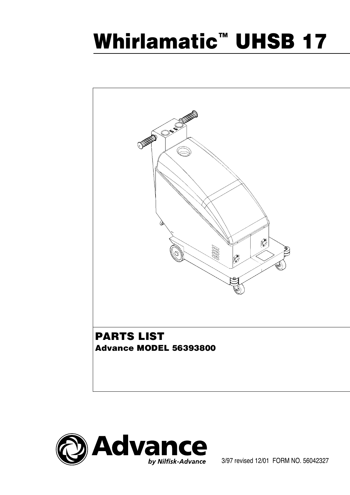# **Whirlamatic™ UHSB 17**





3/97 revised 12/01 FORM NO. 56042327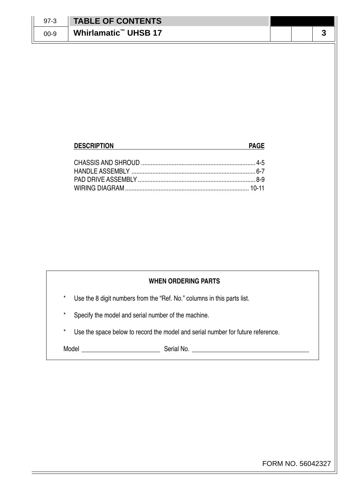| $97-3$ | <b>TABLE OF CONTENTS</b>         |  |     |
|--------|----------------------------------|--|-----|
| 00-9   | Whirlamatic <sup>™</sup> UHSB 17 |  | . . |

### **DESCRIPTION PAGE** CHASSIS AND SHROUD ....................................................................... 4-5 HANDLE ASSEMBLY ............................................................................. 6-7 PAD DRIVE ASSEMBLY ......................................................................... 8-9 WIRING DIAGRAM ............................................................................. 10-11

#### **WHEN ORDERING PARTS**

Use the 8 digit numbers from the "Ref. No." columns in this parts list.

Specify the model and serial number of the machine.

Use the space below to record the model and serial number for future reference.

Model Serial No.

FORM NO. 56042327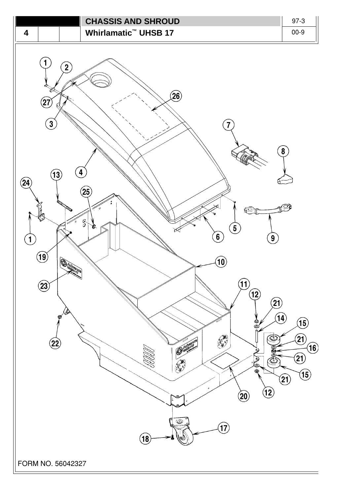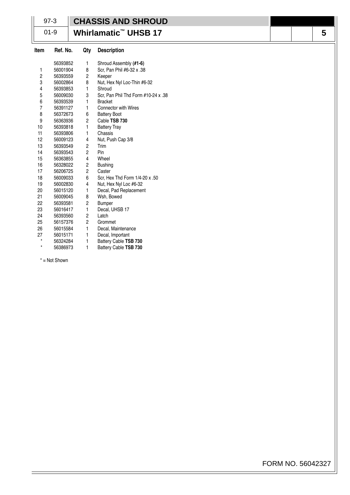## 97-3

## **CHASSIS AND SHROUD**

01-9

## **Whirlamatic™ UHSB 17**

| Item    | Ref. No. | Qty            | <b>Description</b>                  |
|---------|----------|----------------|-------------------------------------|
|         | 56393852 | 1              | Shroud Assembly (#1-6)              |
| 1       | 56001904 | 8              | Scr, Pan Phil #6-32 x .38           |
| 2       | 56393559 | 2              | Keeper                              |
| 3       | 56002864 | 8              | Nut, Hex Nyl Loc-Thin #6-32         |
| 4       | 56393853 | 1              | Shroud                              |
| 5       | 56009030 | 3              | Scr, Pan Phil Thd Form #10-24 x .38 |
| 6       | 56393539 | 1              | <b>Bracket</b>                      |
| 7       | 56391127 | 1              | <b>Connector with Wires</b>         |
| 8       | 56372673 | 6              | <b>Battery Boot</b>                 |
| 9       | 56363936 | 2              | Cable TSB 730                       |
| 10      | 56393818 | 1              | <b>Battery Tray</b>                 |
| 11      | 56393806 | 1              | Chassis                             |
| 12      | 56009123 | 4              | Nut, Push Cap 3/8                   |
| 13      | 56393549 | 2              | Trim                                |
| 14      | 56393543 | $\overline{c}$ | Pin                                 |
| 15      | 56363855 | 4              | Wheel                               |
| 16      | 56328022 | 2              | <b>Bushing</b>                      |
| 17      | 56206725 | 2              | Caster                              |
| 18      | 56009033 | 6              | Scr, Hex Thd Form 1/4-20 x .50      |
| 19      | 56002830 | 4              | Nut, Hex Nyl Loc #6-32              |
| 20      | 56015120 | 1              | Decal, Pad Replacement              |
| 21      | 56009045 | 8              | Wsh, Bowed                          |
| 22      | 56393581 | 2              | <b>Bumper</b>                       |
| 23      | 56016417 | 1              | Decal, UHSB 17                      |
| 24      | 56393560 | 2              | Latch                               |
| 25      | 56157376 | $\overline{c}$ | Grommet                             |
| 26      | 56015584 | 1              | Decal, Maintenance                  |
| 27      | 56015171 | $\mathbf{1}$   | Decal, Important                    |
| $\star$ | 56324284 | 1              | Battery Cable TSB 730               |
| $\star$ | 56386973 | 1              | Battery Cable TSB 730               |
|         |          |                |                                     |

\* = Not Shown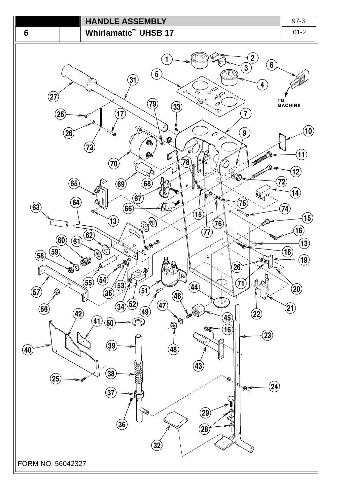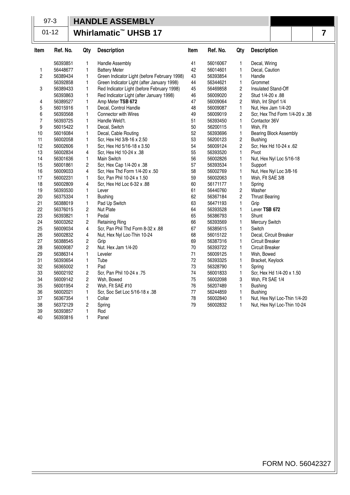#### 97-3

#### **HANDLE ASSEMBLY**Ш

01-12

## **Whirlamatic™ UHSB 17**

| Item           | Ref. No. | Qty            | <b>Description</b>                           | Item | Ref. No. | Qty            | <b>Description</b>             |
|----------------|----------|----------------|----------------------------------------------|------|----------|----------------|--------------------------------|
|                | 56393851 | 1              | <b>Handle Assembly</b>                       | 41   | 56016067 | 1              | Decal, Wiring                  |
| 1              | 56448677 | $\mathbf{1}$   | <b>Battery Meter</b>                         | 42   | 56014601 | 1              | Decal, Caution                 |
| $\overline{c}$ | 56389434 | 1              | Green Indicator Light (before February 1998) | 43   | 56393854 | 1              | Handle                         |
|                | 56392858 | 1              | Green Indicator Light (after January 1998)   | 44   | 56344621 | 1              | Grommet                        |
| 3              | 56389433 | $\mathbf{1}$   | Red Indicator Light (before February 1998)   | 45   | 56469858 | 2              | Insulated Stand-Off            |
|                | 56393863 | 1              | Red Indicator Light (after January 1998)     | 46   | 56009020 | $\overline{c}$ | Stud 1/4-20 x .88              |
| 4              | 56389527 | $\mathbf{1}$   | Amp Meter TSB 672                            | 47   | 56009064 | $\overline{c}$ | Wsh, Int Shprf 1/4             |
| 5              | 56015916 | $\mathbf{1}$   | Decal, Control Handle                        | 48   | 56009087 | $\mathbf{1}$   | Nut, Hex Jam 1/4-20            |
| 6              | 56393568 | $\mathbf{1}$   | Connector with Wires                         | 49   | 56009019 | $\overline{c}$ | Scr, Hex Thd Form 1/4-20 x .38 |
| 7              | 56393725 | 1              | Handle Weld't.                               | 51   | 56393450 | $\mathbf{1}$   | Contactor 36V                  |
| 9              | 56015422 | 1              | Decal, Switch                                | 50   | 56200115 | 1              | Wsh, Flt                       |
| 10             | 56016084 | $\mathbf{1}$   | Decal, Cable Routing                         | 52   | 56393696 | 1              | <b>Bearing Block Assembly</b>  |
| 11             | 56002058 | $\mathbf{1}$   | Scr, Hex Hd 3/8-16 x 2.50                    | 53   | 56200123 | $\overline{c}$ | <b>Bushing</b>                 |
| 12             | 56002606 | 1              | Scr, Hex Hd 5/16-18 x 3.50                   | 54   | 56009124 | $\overline{c}$ | Scr, Hex Hd 10-24 x .62        |
| 13             | 56002834 | 4              | Scr, Hex Hd 10-24 x .38                      | 55   | 56393520 | 1              | Pivot                          |
| 14             | 56301636 | $\mathbf{1}$   | Main Switch                                  | 56   | 56002826 | 1              | Nut, Hex Nyl Loc 5/16-18       |
| 15             | 56001861 | $\overline{c}$ | Scr, Hex Cap 1/4-20 x .38                    | 57   | 56393534 | $\mathbf{1}$   | Support                        |
| 16             | 56009033 | $\overline{4}$ | Scr, Hex Thd Form 1/4-20 x .50               | 58   | 56002769 | 1              | Nut, Hex Nyl Loc 3/8-16        |
| 17             | 56002231 | 1              | Scr, Pan Phil 10-24 x 1.50                   | 59   | 56002063 | 1              | Wsh, Flt SAE 3/8               |
| 18             | 56002809 | $\overline{4}$ | Scr, Hex Hd Loc 6-32 x .88                   | 60   | 56171177 | 1              | Spring                         |
| 19             | 56393530 | 1              | Lever                                        | 61   | 56440760 | 2              | Washer                         |
| 20             | 56375334 | 1              | <b>Bushing</b>                               | 62   | 56367184 | $\overline{c}$ | <b>Thrust Bearing</b>          |
| 21             | 56388019 | $\mathbf{1}$   | Pad Up Switch                                | 63   | 56471193 | $\mathbf{1}$   | Grip                           |
| 22             | 56376015 | $\overline{c}$ | Nut Plate                                    | 64   | 56393528 | 1              | Lever TSB 672                  |
| 23             | 56393821 | $\mathbf{1}$   | Pedal                                        | 65   | 56386793 | 1              | Shunt                          |
| 24             | 56003262 | $\overline{c}$ | <b>Retaining Ring</b>                        | 66   | 56393569 | 1              | <b>Mercury Switch</b>          |
| 25             | 56009034 | 4              | Scr, Pan Phil Thd Form 8-32 x .88            | 67   | 56385615 | 1              | Switch                         |
| 26             | 56002832 | 4              | Nut, Hex Nyl Loc-Thin 10-24                  | 68   | 56015122 | $\mathbf{1}$   | Decal, Circuit Breaker         |
| 27             | 56388545 | $\overline{c}$ | Grip                                         | 69   | 56387316 | 1              | Circuit Breaker                |
| 28             | 56009087 | $\overline{c}$ | Nut. Hex Jam 1/4-20                          | 70   | 56393722 | 1              | Circuit Breaker                |
| 29             | 56386314 | $\mathbf{1}$   | Leveler                                      | 71   | 56009125 | 1              | Wsh, Bowed                     |
| 31             | 56393654 | 1              | Tube                                         | 72   | 56393325 | $\mathbf{1}$   | Bracket, Keylock               |
| 32             | 56365002 | $\mathbf{1}$   | Pad                                          | 73   | 56328790 | $\mathbf{1}$   | Spring                         |
| 33             | 56002192 | $\overline{c}$ | Scr, Pan Phil 10-24 x .75                    | 74   | 56001833 | 1              | Scr, Hex Hd 1/4-20 x 1.50      |
| 34             | 56009142 | $\overline{c}$ | Wsh, Bowed                                   | 75   | 56002098 | 3              | Wsh, Flt SAE 1/4               |
| 35             | 56001954 | $\overline{c}$ | Wsh, Flt SAE #10                             | 76   | 56207489 | $\mathbf{1}$   | <b>Bushing</b>                 |
| 36             | 56002021 | 1              | Scr, Soc Set Loc 5/16-18 x .38               | 77   | 56244859 | 1              | <b>Bushing</b>                 |
| 37             | 56367354 | $\mathbf{1}$   | Collar                                       | 78   | 56002840 | 1              | Nut, Hex Nyl Loc-Thin 1/4-20   |
| 38             | 56372129 | $\overline{c}$ | Spring                                       | 79   | 56002832 | $\mathbf{1}$   | Nut, Hex Nyl Loc-Thin 10-24    |
| 39             | 56393857 | $\mathbf{1}$   | Rod                                          |      |          |                |                                |
| 40             | 56393816 | 1              | Panel                                        |      |          |                |                                |

**7**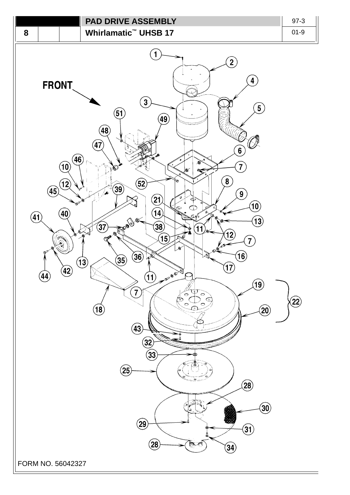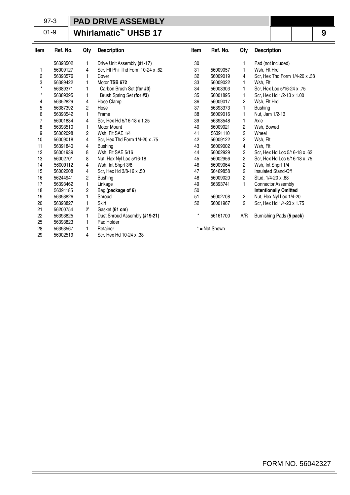## 97-3

## **PAD DRIVE ASSEMBLY**

01-9

## **Whirlamatic™ UHSB 17**

| ltem           | Ref. No. | Qty            | <b>Description</b>                 | Item    | Ref. No.        | Qty            | <b>Description</b>             |
|----------------|----------|----------------|------------------------------------|---------|-----------------|----------------|--------------------------------|
|                | 56393502 | 1              | Drive Unit Assembly (#1-17)        | 30      |                 |                | Pad (not included)             |
| 1              | 56009127 | 4              | Scr, Flt Phil Thd Form 10-24 x .62 | 31      | 56009057        | 1              | Wsh. Fit Hrd                   |
| 2              | 56393576 | 1              | Cover                              | 32      | 56009019        | 4              | Scr, Hex Thd Form 1/4-20 x .38 |
| 3              | 56389422 | 1              | Motor TSB 672                      | 33      | 56009022        | 1              | Wsh, Flt                       |
| $^\star$       | 56389371 | 1              | Carbon Brush Set (for #3)          | 34      | 56003303        | 1              | Scr. Hex Loc 5/16-24 x .75     |
| $^\star$       | 56389395 | 1              | Brush Spring Set (for #3)          | 35      | 56001895        | 1              | Scr, Hex Hd 1/2-13 x 1.00      |
| 4              | 56352829 | 4              | Hose Clamp                         | 36      | 56009017        | 2              | Wsh, Flt Hrd                   |
| 5              | 56387392 | $\overline{c}$ | Hose                               | 37      | 56393373        | 1              | <b>Bushing</b>                 |
| 6              | 56393542 | 1              | Frame                              | 38      | 56009016        |                | Nut, Jam 1/2-13                |
| $\overline{7}$ | 56001834 | 4              | Scr, Hex Hd 5/16-18 x 1.25         | 39      | 56393548        | 1              | Axle                           |
| 8              | 56393510 | 1              | <b>Motor Mount</b>                 | 40      | 56009021        | 2              | Wsh, Bowed                     |
| 9              | 56002098 | $\overline{c}$ | Wsh, Flt SAE 1/4                   | 41      | 56391110        | 2              | Wheel                          |
| 10             | 56009018 | 4              | Scr, Hex Thd Form 1/4-20 x .75     | 42      | 56009122        | $\overline{c}$ | Wsh, Flt                       |
| 11             | 56391840 | 4              | <b>Bushing</b>                     | 43      | 56009002        | 4              | Wsh. Flt                       |
| 12             | 56001939 | 8              | Wsh, Flt SAE 5/16                  | 44      | 56002929        | 2              | Scr, Hex Hd Loc 5/16-18 x .62  |
| 13             | 56002701 | 8              | Nut, Hex Nyl Loc 5/16-18           | 45      | 56002956        | 2              | Scr, Hex Hd Loc 5/16-18 x .75  |
| 14             | 56009112 | 4              | Wsh, Int Shprf 3/8                 | 46      | 56009064        | 2              | Wsh, Int Shprf 1/4             |
| 15             | 56002208 | 4              | Scr, Hex Hd 3/8-16 x .50           | 47      | 56469858        | 2              | Insulated Stand-Off            |
| 16             | 56244941 | 2              | <b>Bushing</b>                     | 48      | 56009020        | 2              | Stud, 1/4-20 x .88             |
| 17             | 56393462 | 1              | Linkage                            | 49      | 56393741        | 1              | <b>Connector Assembly</b>      |
| 18             | 56391185 | 2              | Bag (package of 6)                 | 50      |                 |                | <b>Intentionally Omitted</b>   |
| 19             | 56393826 | 1              | Shroud                             | 51      | 56002708        | 2              | Nut, Hex Nyl Loc 1/4-20        |
| 20             | 56393827 | 1              | Skirt                              | 52      | 56001967        | 2              | Scr, Hex Hd 1/4-20 x 1.75      |
| 21             | 56200754 | $2^{\prime}$   | Gasket (61 cm)                     |         |                 |                |                                |
| 22             | 56393825 | 1              | Dust Shroud Assembly (#19-21)      | $\star$ | 56161700        | A/R            | Burnishing Pads (5 pack)       |
| 25             | 56393823 | 1              | Pad Holder                         |         |                 |                |                                |
| 28             | 56393567 | 1              | Retainer                           |         | $* = Not Shown$ |                |                                |
| 29             | 56002519 | 4              | Scr, Hex Hd 10-24 x .38            |         |                 |                |                                |

**9**

FORM NO. 56042327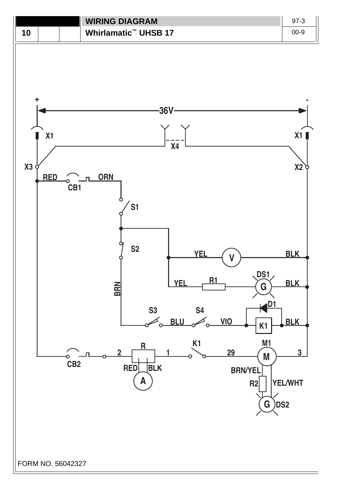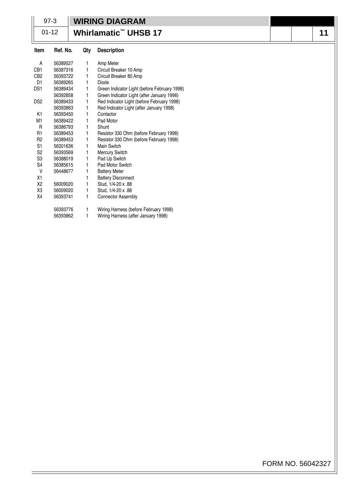|                 | $97-3$   |     | <b>WIRING DIAGRAM</b>                        |  |    |
|-----------------|----------|-----|----------------------------------------------|--|----|
| $01 - 12$       |          |     | Whirlamatic <sup>™</sup> UHSB 17             |  | 11 |
| Item            | Ref. No. | Qty | <b>Description</b>                           |  |    |
| A               | 56389527 | 1   | Amp Meter                                    |  |    |
| CB1             | 56387316 | 1   | Circuit Breaker 10 Amp                       |  |    |
| CB <sub>2</sub> | 56393722 | 1   | Circuit Breaker 80 Amp                       |  |    |
| D <sub>1</sub>  | 56389265 | 1   | Diode                                        |  |    |
| DS <sub>1</sub> | 56389434 | 1   | Green Indicator Light (before February 1998) |  |    |
|                 | 56392858 | 1   | Green Indicator Light (after January 1998)   |  |    |
| DS <sub>2</sub> | 56389433 | 1   | Red Indicator Light (before February 1998)   |  |    |
|                 | 56393863 | 1   | Red Indicator Light (after January 1998)     |  |    |
| K <sub>1</sub>  | 56393450 | 1   | Contactor                                    |  |    |
| M <sub>1</sub>  | 56389422 | 1   | Pad Motor                                    |  |    |
| R               | 56386793 | 1   | Shunt                                        |  |    |
| R <sub>1</sub>  | 56389453 | 1   | Resistor 330 Ohm (before February 1998)      |  |    |
| R <sub>2</sub>  | 56389453 | 1   | Resistor 330 Ohm (before February 1998)      |  |    |
| S <sub>1</sub>  | 56301636 | 1   | Main Switch                                  |  |    |
| S <sub>2</sub>  | 56393569 | 1   | Mercury Switch                               |  |    |
| S <sub>3</sub>  | 56388019 | 1   | Pad Up Switch                                |  |    |
| S <sub>4</sub>  | 56385615 | 1   | Pad Motor Switch                             |  |    |
| $\vee$          | 56448677 |     | <b>Battery Meter</b>                         |  |    |
| X1              |          |     | <b>Battery Disconnect</b>                    |  |    |
| X <sub>2</sub>  | 56009020 | 1   | Stud, 1/4-20 x .88                           |  |    |
| X3              | 56009020 | 1   | Stud, 1/4-20 x .88                           |  |    |
| X4              | 56393741 | 1   | Connector Assembly                           |  |    |
|                 | 56393776 | 1   | Wiring Harness (before February 1998)        |  |    |
|                 | 56393862 | 1   | Wiring Harness (after January 1998)          |  |    |